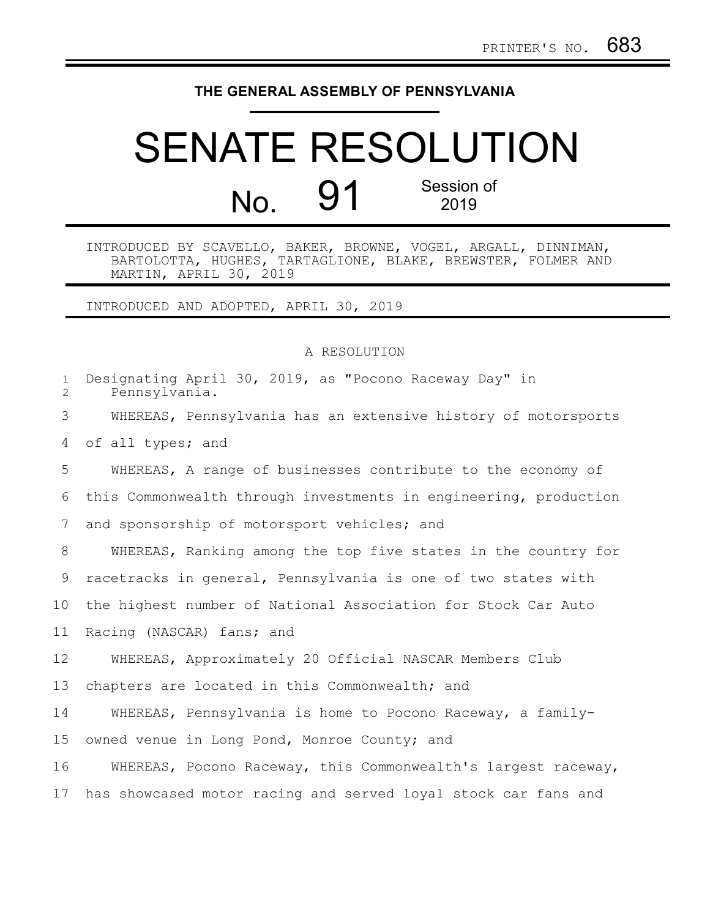## **THE GENERAL ASSEMBLY OF PENNSYLVANIA**

## SENATE RESOLUTION No. 91 Session of 2019

INTRODUCED BY SCAVELLO, BAKER, BROWNE, VOGEL, ARGALL, DINNIMAN, BARTOLOTTA, HUGHES, TARTAGLIONE, BLAKE, BREWSTER, FOLMER AND MARTIN, APRIL 30, 2019

INTRODUCED AND ADOPTED, APRIL 30, 2019

## A RESOLUTION

| $\mathbf{1}$<br>$\overline{2}$ | Designating April 30, 2019, as "Pocono Raceway Day" in<br>Pennsylvania. |
|--------------------------------|-------------------------------------------------------------------------|
| 3                              | WHEREAS, Pennsylvania has an extensive history of motorsports           |
| 4                              | of all types; and                                                       |
| 5                              | WHEREAS, A range of businesses contribute to the economy of             |
| 6                              | this Commonwealth through investments in engineering, production        |
| 7                              | and sponsorship of motorsport vehicles; and                             |
| 8                              | WHEREAS, Ranking among the top five states in the country for           |
| 9                              | racetracks in general, Pennsylvania is one of two states with           |
| 10                             | the highest number of National Association for Stock Car Auto           |
| 11                             | Racing (NASCAR) fans; and                                               |
| $12 \,$                        | WHEREAS, Approximately 20 Official NASCAR Members Club                  |
| 13                             | chapters are located in this Commonwealth; and                          |
| 14                             | WHEREAS, Pennsylvania is home to Pocono Raceway, a family-              |
| 15                             | owned venue in Long Pond, Monroe County; and                            |
| 16                             | WHEREAS, Pocono Raceway, this Commonwealth's largest raceway,           |
| 17                             | has showcased motor racing and served loyal stock car fans and          |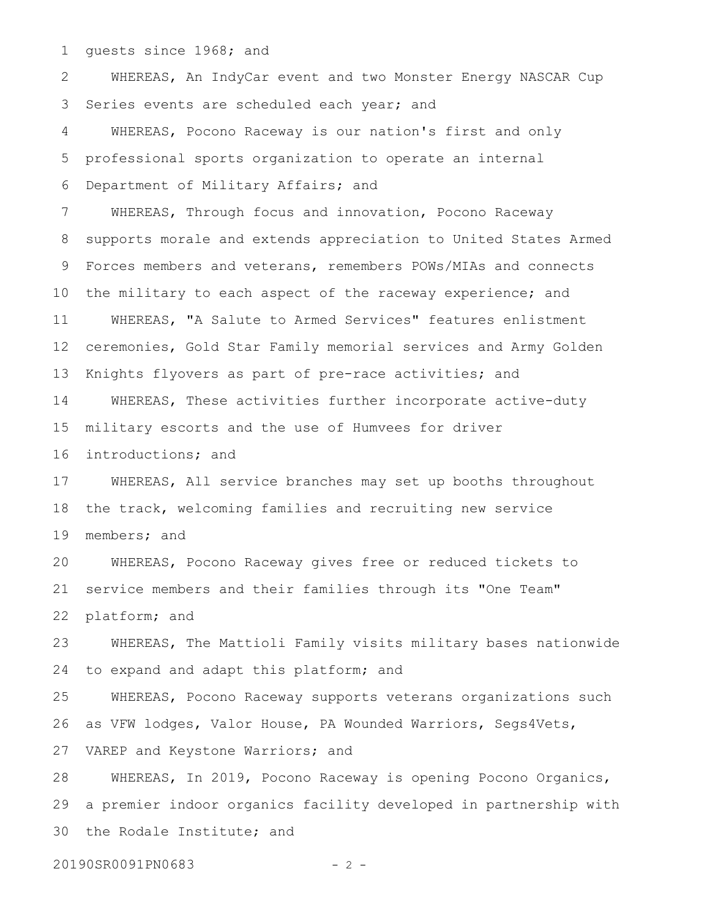guests since 1968; and 1

WHEREAS, An IndyCar event and two Monster Energy NASCAR Cup Series events are scheduled each year; and WHEREAS, Pocono Raceway is our nation's first and only professional sports organization to operate an internal 2 3 4 5

Department of Military Affairs; and 6

WHEREAS, Through focus and innovation, Pocono Raceway supports morale and extends appreciation to United States Armed Forces members and veterans, remembers POWs/MIAs and connects the military to each aspect of the raceway experience; and WHEREAS, "A Salute to Armed Services" features enlistment ceremonies, Gold Star Family memorial services and Army Golden Knights flyovers as part of pre-race activities; and WHEREAS, These activities further incorporate active-duty military escorts and the use of Humvees for driver 7 8 9 10 11 12 13 14 15

introductions; and 16

WHEREAS, All service branches may set up booths throughout the track, welcoming families and recruiting new service members; and 17 18 19

WHEREAS, Pocono Raceway gives free or reduced tickets to service members and their families through its "One Team" platform; and 20 21 22

WHEREAS, The Mattioli Family visits military bases nationwide to expand and adapt this platform; and 23 24

WHEREAS, Pocono Raceway supports veterans organizations such as VFW lodges, Valor House, PA Wounded Warriors, Segs4Vets, VAREP and Keystone Warriors; and 25 26 27

WHEREAS, In 2019, Pocono Raceway is opening Pocono Organics, a premier indoor organics facility developed in partnership with the Rodale Institute; and 28 29 30

20190SR0091PN0683 - 2 -